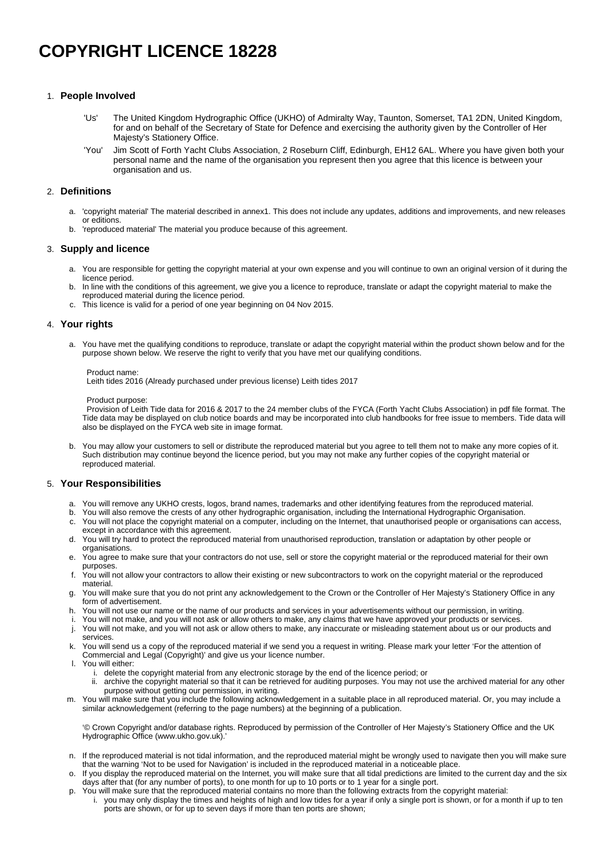# **COPYRIGHT LICENCE 18228**

# 1. **People Involved**

## 2. **Definitions**

- a. 'copyright material' The material described in annex1. This does not include any updates, additions and improvements, and new releases or editions.
- b. 'reproduced material' The material you produce because of this agreement.

### 3. **Supply and licence**

- a. You are responsible for getting the copyright material at your own expense and you will continue to own an original version of it during the licence period.
- b. In line with the conditions of this agreement, we give you a licence to reproduce, translate or adapt the copyright material to make the reproduced material during the licence period.
- c. This licence is valid for a period of one year beginning on 04 Nov 2015.

### 4. **Your rights**

a. You have met the qualifying conditions to reproduce, translate or adapt the copyright material within the product shown below and for the purpose shown below. We reserve the right to verify that you have met our qualifying conditions.

#### Product name:

Leith tides 2016 (Already purchased under previous license) Leith tides 2017

Product purpose:

Provision of Leith Tide data for 2016 & 2017 to the 24 member clubs of the FYCA (Forth Yacht Clubs Association) in pdf file format. The Tide data may be displayed on club notice boards and may be incorporated into club handbooks for free issue to members. Tide data will also be displayed on the FYCA web site in image format.

b. You may allow your customers to sell or distribute the reproduced material but you agree to tell them not to make any more copies of it. Such distribution may continue beyond the licence period, but you may not make any further copies of the copyright material or reproduced material.

### 5. **Your Responsibilities**

- a. You will remove any UKHO crests, logos, brand names, trademarks and other identifying features from the reproduced material.
- b. You will also remove the crests of any other hydrographic organisation, including the International Hydrographic Organisation.
- c. You will not place the copyright material on a computer, including on the Internet, that unauthorised people or organisations can access, except in accordance with this agreement.
- d. You will try hard to protect the reproduced material from unauthorised reproduction, translation or adaptation by other people or organisations.
- e. You agree to make sure that your contractors do not use, sell or store the copyright material or the reproduced material for their own purposes.
- f. You will not allow your contractors to allow their existing or new subcontractors to work on the copyright material or the reproduced material.
- g. You will make sure that you do not print any acknowledgement to the Crown or the Controller of Her Majesty's Stationery Office in any form of advertisement.
- h. You will not use our name or the name of our products and services in your advertisements without our permission, in writing.
- i. You will not make, and you will not ask or allow others to make, any claims that we have approved your products or services.
- j. You will not make, and you will not ask or allow others to make, any inaccurate or misleading statement about us or our products and services.
- k. You will send us a copy of the reproduced material if we send you a request in writing. Please mark your letter 'For the attention of
	- Commercial and Legal (Copyright)' and give us your licence number.
- l. You will either:
	- i. delete the copyright material from any electronic storage by the end of the licence period; or
	- ii. archive the copyright material so that it can be retrieved for auditing purposes. You may not use the archived material for any other purpose without getting our permission, in writing.
- m. You will make sure that you include the following acknowledgement in a suitable place in all reproduced material. Or, you may include a similar acknowledgement (referring to the page numbers) at the beginning of a publication.

'© Crown Copyright and/or database rights. Reproduced by permission of the Controller of Her Majesty's Stationery Office and the UK Hydrographic Office [\(www.ukho.gov.uk](http://www.ukho.gov.uk)).'

- n. If the reproduced material is not tidal information, and the reproduced material might be wrongly used to navigate then you will make sure that the warning 'Not to be used for Navigation' is included in the reproduced material in a noticeable place.
- o. If you display the reproduced material on the Internet, you will make sure that all tidal predictions are limited to the current day and the six days after that (for any number of ports), to one month for up to 10 ports or to 1 year for a single port.
- p. You will make sure that the reproduced material contains no more than the following extracts from the copyright material:
	- i. you may only display the times and heights of high and low tides for a year if only a single port is shown, or for a month if up to ten ports are shown, or for up to seven days if more than ten ports are shown;
- 'Us' The United Kingdom Hydrographic Office (UKHO) of Admiralty Way, Taunton, Somerset, TA1 2DN, United Kingdom, for and on behalf of the Secretary of State for Defence and exercising the authority given by the Controller of Her Majesty's Stationery Office.
- 'You' Jim Scott of Forth Yacht Clubs Association, 2 Roseburn Cliff, Edinburgh, EH12 6AL. Where you have given both your personal name and the name of the organisation you represent then you agree that this licence is between your organisation and us.